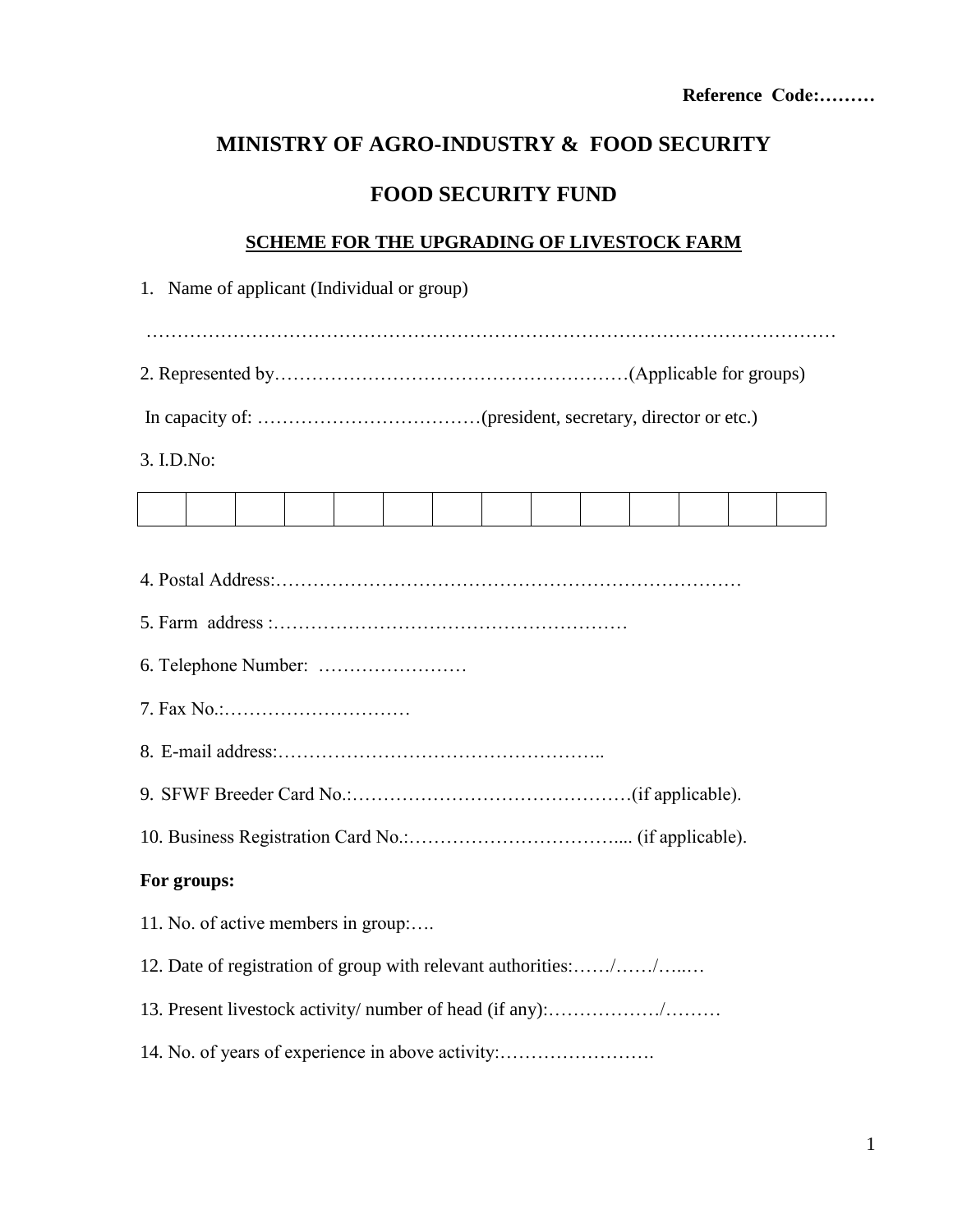# **MINISTRY OF AGRO-INDUSTRY & FOOD SECURITY**

## **FOOD SECURITY FUND**

#### **SCHEME FOR THE UPGRADING OF LIVESTOCK FARM**

| 3. I.D.No:                                                     |  |  |  |  |  |  |
|----------------------------------------------------------------|--|--|--|--|--|--|
|                                                                |  |  |  |  |  |  |
|                                                                |  |  |  |  |  |  |
|                                                                |  |  |  |  |  |  |
|                                                                |  |  |  |  |  |  |
|                                                                |  |  |  |  |  |  |
|                                                                |  |  |  |  |  |  |
|                                                                |  |  |  |  |  |  |
|                                                                |  |  |  |  |  |  |
|                                                                |  |  |  |  |  |  |
| For groups:                                                    |  |  |  |  |  |  |
| 11. No. of active members in group:                            |  |  |  |  |  |  |
| 12. Date of registration of group with relevant authorities:// |  |  |  |  |  |  |
|                                                                |  |  |  |  |  |  |
| 14. No. of years of experience in above activity:              |  |  |  |  |  |  |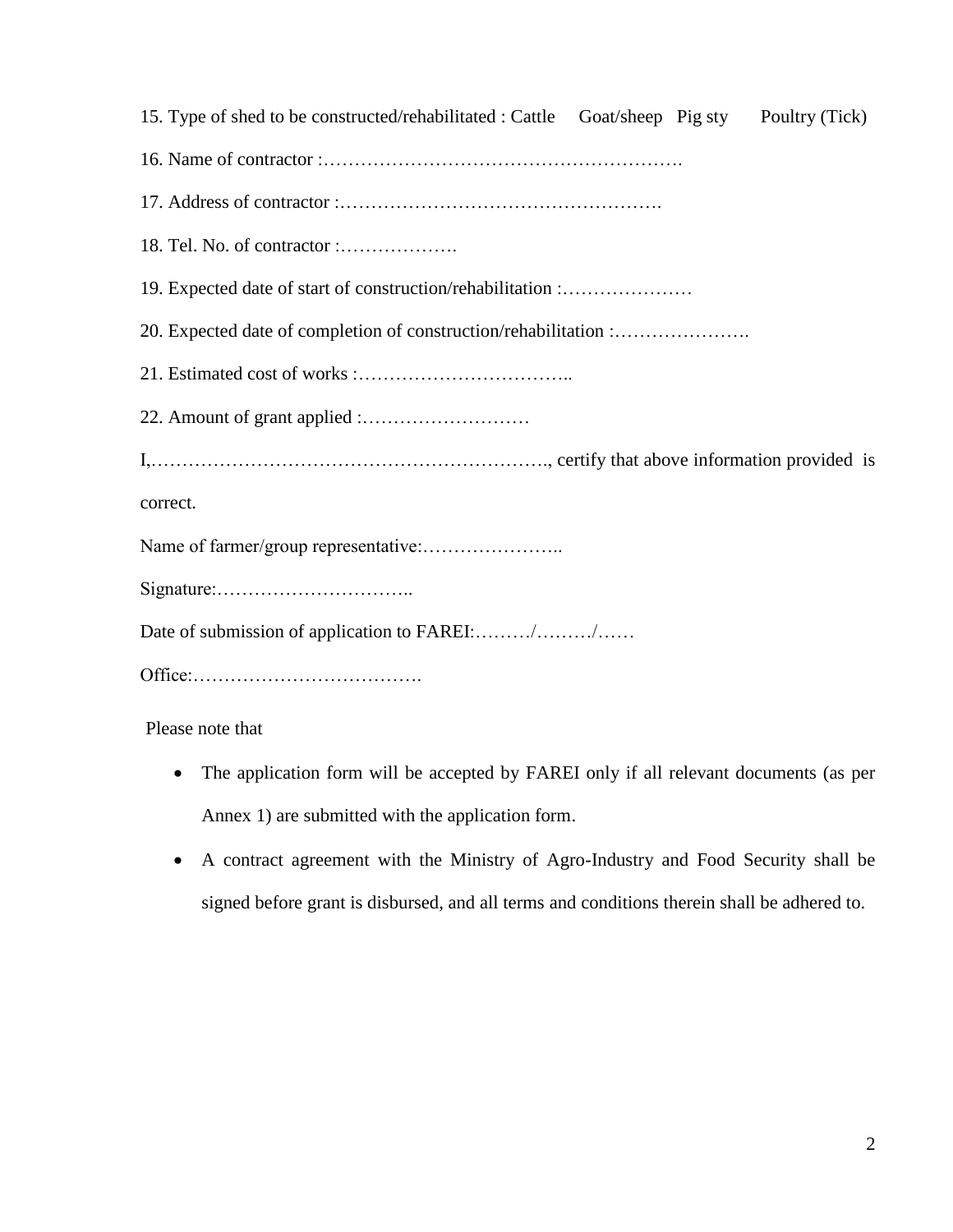15. Type of shed to be constructed/rehabilitated : Cattle Goat/sheep Pig sty Poultry (Tick) 16. Name of contractor :…………………………………………………. 17. Address of contractor :……………………………………………. 18. Tel. No. of contractor :………………. 19. Expected date of start of construction/rehabilitation :………………… 20. Expected date of completion of construction/rehabilitation :…………………. 21. Estimated cost of works :…………………………….. 22. Amount of grant applied :……………………… I,………………………………………………………., certify that above information provided is correct. Name of farmer/group representative:………………….. Signature:………………………….. Date of submission of application to FAREI:......../......../...... Office:……………………………….

Please note that

- The application form will be accepted by FAREI only if all relevant documents (as per Annex 1) are submitted with the application form.
- A contract agreement with the Ministry of Agro-Industry and Food Security shall be signed before grant is disbursed, and all terms and conditions therein shall be adhered to.